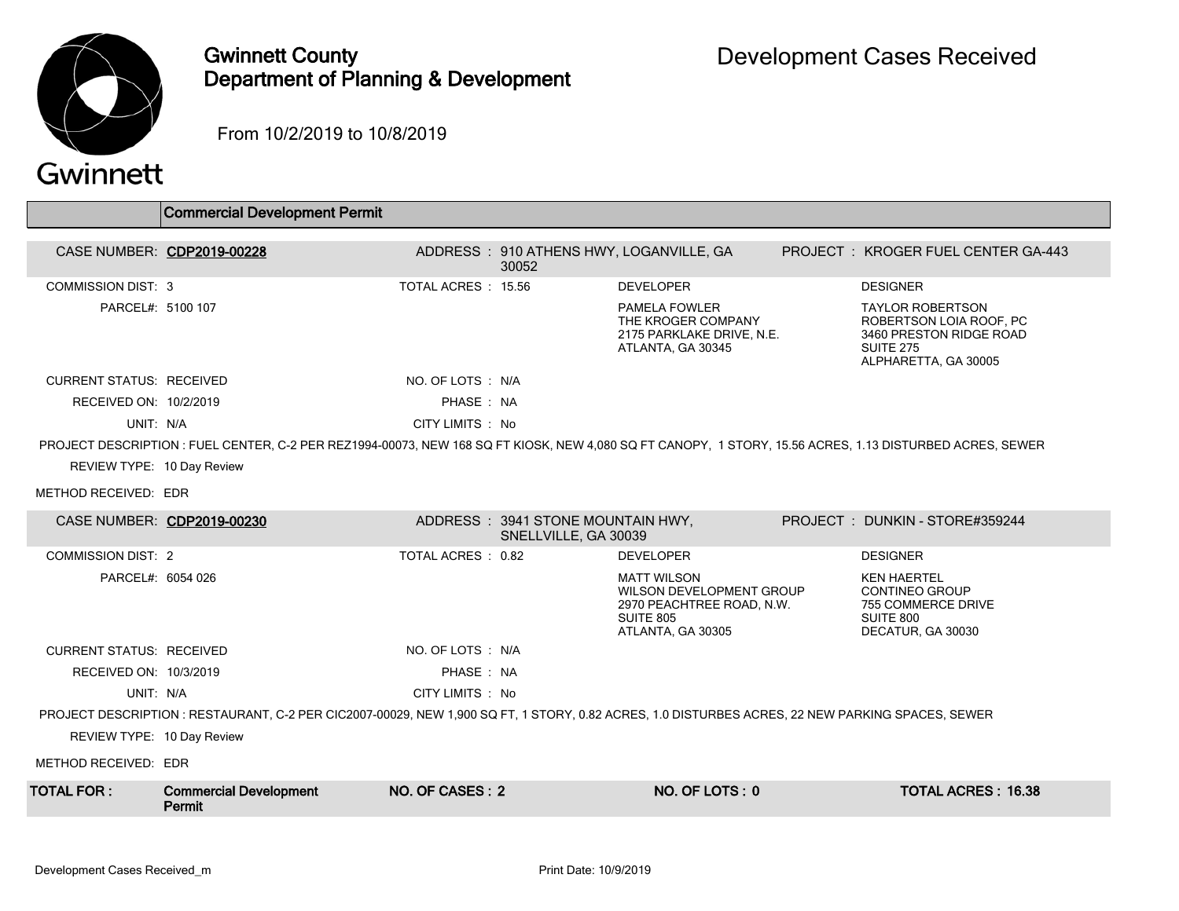

## Gwinnett County Department of Planning & Development

From 10/2/2019 to 10/8/2019

## Gwinnett

|                                 | <b>Commercial Development Permit</b>                                                                                                                     |                    |                                                           |                                                                                                                      |                                                                                                                           |
|---------------------------------|----------------------------------------------------------------------------------------------------------------------------------------------------------|--------------------|-----------------------------------------------------------|----------------------------------------------------------------------------------------------------------------------|---------------------------------------------------------------------------------------------------------------------------|
| CASE NUMBER: CDP2019-00228      |                                                                                                                                                          |                    | 30052                                                     | ADDRESS: 910 ATHENS HWY, LOGANVILLE, GA                                                                              | <b>PROJECT: KROGER FUEL CENTER GA-443</b>                                                                                 |
| <b>COMMISSION DIST: 3</b>       |                                                                                                                                                          | TOTAL ACRES: 15.56 |                                                           | <b>DEVELOPER</b>                                                                                                     | <b>DESIGNER</b>                                                                                                           |
| PARCEL#: 5100 107               |                                                                                                                                                          |                    |                                                           | <b>PAMELA FOWLER</b><br>THE KROGER COMPANY<br>2175 PARKLAKE DRIVE, N.E.<br>ATLANTA, GA 30345                         | <b>TAYLOR ROBERTSON</b><br>ROBERTSON LOIA ROOF, PC<br>3460 PRESTON RIDGE ROAD<br><b>SUITE 275</b><br>ALPHARETTA, GA 30005 |
| <b>CURRENT STATUS: RECEIVED</b> |                                                                                                                                                          | NO. OF LOTS: N/A   |                                                           |                                                                                                                      |                                                                                                                           |
| RECEIVED ON: 10/2/2019          |                                                                                                                                                          | PHASE: NA          |                                                           |                                                                                                                      |                                                                                                                           |
| UNIT: N/A                       |                                                                                                                                                          | CITY LIMITS : No   |                                                           |                                                                                                                      |                                                                                                                           |
|                                 | PROJECT DESCRIPTION : FUEL CENTER, C-2 PER REZ1994-00073, NEW 168 SQ FT KIOSK, NEW 4.080 SQ FT CANOPY, 1 STORY, 15.56 ACRES, 1.13 DISTURBED ACRES, SEWER |                    |                                                           |                                                                                                                      |                                                                                                                           |
| REVIEW TYPE: 10 Day Review      |                                                                                                                                                          |                    |                                                           |                                                                                                                      |                                                                                                                           |
| METHOD RECEIVED: EDR            |                                                                                                                                                          |                    |                                                           |                                                                                                                      |                                                                                                                           |
|                                 | CASE NUMBER: CDP2019-00230                                                                                                                               |                    | ADDRESS: 3941 STONE MOUNTAIN HWY,<br>SNELLVILLE, GA 30039 |                                                                                                                      | PROJECT: DUNKIN - STORE#359244                                                                                            |
| <b>COMMISSION DIST: 2</b>       |                                                                                                                                                          | TOTAL ACRES: 0.82  |                                                           | <b>DEVELOPER</b>                                                                                                     | <b>DESIGNER</b>                                                                                                           |
| PARCEL#: 6054 026               |                                                                                                                                                          |                    |                                                           | <b>MATT WILSON</b><br>WILSON DEVELOPMENT GROUP<br>2970 PEACHTREE ROAD, N.W.<br><b>SUITE 805</b><br>ATLANTA, GA 30305 | <b>KEN HAERTEL</b><br><b>CONTINEO GROUP</b><br>755 COMMERCE DRIVE<br>SUITE 800<br>DECATUR, GA 30030                       |
| <b>CURRENT STATUS: RECEIVED</b> |                                                                                                                                                          | NO. OF LOTS : N/A  |                                                           |                                                                                                                      |                                                                                                                           |
| RECEIVED ON: 10/3/2019          |                                                                                                                                                          | PHASE: NA          |                                                           |                                                                                                                      |                                                                                                                           |
| UNIT: N/A                       |                                                                                                                                                          | CITY LIMITS: No    |                                                           |                                                                                                                      |                                                                                                                           |
|                                 | PROJECT DESCRIPTION : RESTAURANT, C-2 PER CIC2007-00029, NEW 1,900 SQ FT, 1 STORY, 0.82 ACRES, 1.0 DISTURBES ACRES, 22 NEW PARKING SPACES, SEWER         |                    |                                                           |                                                                                                                      |                                                                                                                           |
| REVIEW TYPE: 10 Day Review      |                                                                                                                                                          |                    |                                                           |                                                                                                                      |                                                                                                                           |
| METHOD RECEIVED: EDR            |                                                                                                                                                          |                    |                                                           |                                                                                                                      |                                                                                                                           |
| TOTAL FOR :                     | <b>Commercial Development</b><br>Permit                                                                                                                  | NO. OF CASES: 2    |                                                           | NO. OF LOTS: 0                                                                                                       | <b>TOTAL ACRES: 16.38</b>                                                                                                 |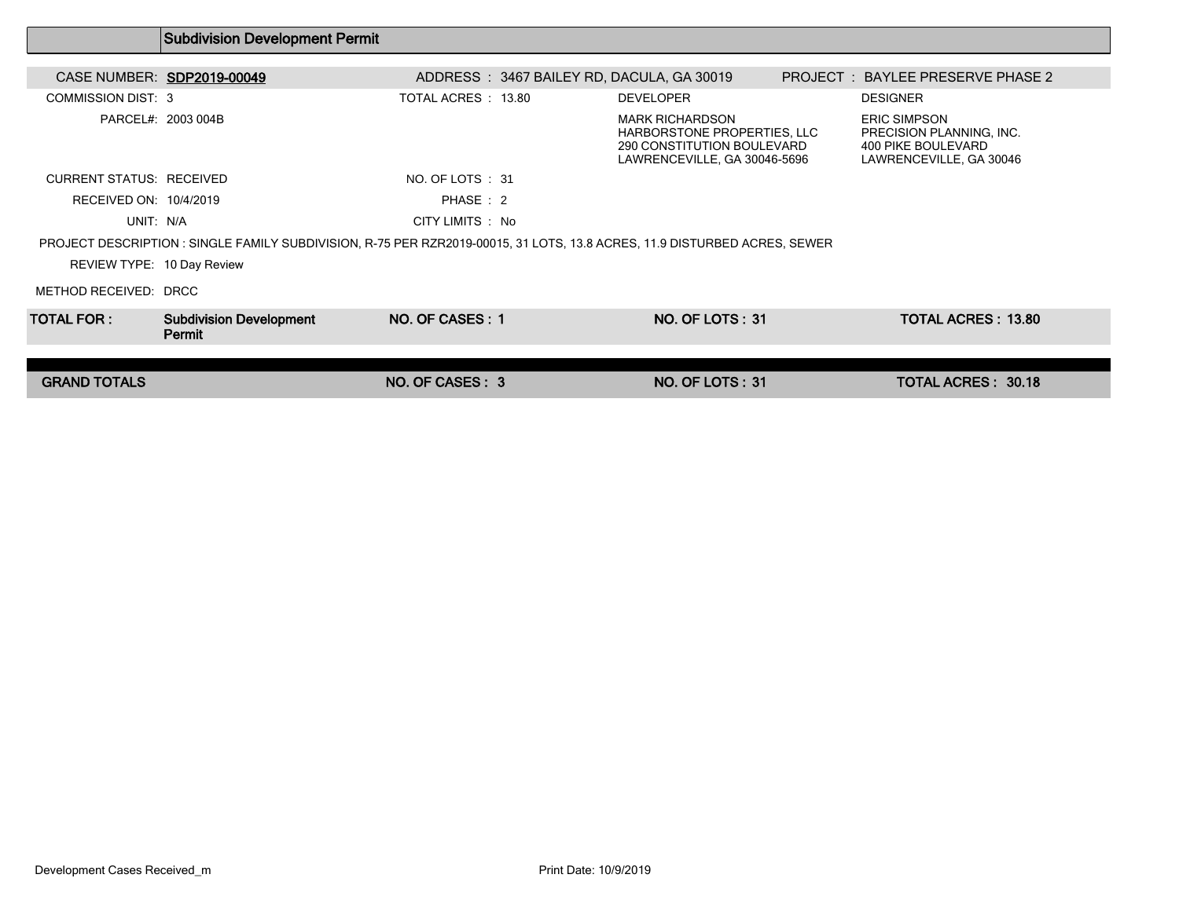|                                 | <b>Subdivision Development Permit</b>                                                                                     |                                           |                                                                                                                     |                                                                                                  |  |
|---------------------------------|---------------------------------------------------------------------------------------------------------------------------|-------------------------------------------|---------------------------------------------------------------------------------------------------------------------|--------------------------------------------------------------------------------------------------|--|
|                                 |                                                                                                                           |                                           |                                                                                                                     |                                                                                                  |  |
|                                 | CASE NUMBER: SDP2019-00049                                                                                                | ADDRESS: 3467 BAILEY RD, DACULA, GA 30019 |                                                                                                                     | PROJECT: BAYLEE PRESERVE PHASE 2                                                                 |  |
| <b>COMMISSION DIST: 3</b>       |                                                                                                                           | TOTAL ACRES : 13.80                       | <b>DEVELOPER</b>                                                                                                    | <b>DESIGNER</b>                                                                                  |  |
|                                 | PARCEL#: 2003 004B                                                                                                        |                                           | <b>MARK RICHARDSON</b><br>HARBORSTONE PROPERTIES. LLC<br>290 CONSTITUTION BOULEVARD<br>LAWRENCEVILLE, GA 30046-5696 | <b>ERIC SIMPSON</b><br>PRECISION PLANNING, INC.<br>400 PIKE BOULEVARD<br>LAWRENCEVILLE, GA 30046 |  |
| <b>CURRENT STATUS: RECEIVED</b> |                                                                                                                           | NO. OF LOTS : 31                          |                                                                                                                     |                                                                                                  |  |
| RECEIVED ON: 10/4/2019          |                                                                                                                           | PHASE: 2                                  |                                                                                                                     |                                                                                                  |  |
| UNIT: N/A                       |                                                                                                                           | CITY LIMITS : No                          |                                                                                                                     |                                                                                                  |  |
|                                 | PROJECT DESCRIPTION : SINGLE FAMILY SUBDIVISION, R-75 PER RZR2019-00015, 31 LOTS, 13.8 ACRES, 11.9 DISTURBED ACRES, SEWER |                                           |                                                                                                                     |                                                                                                  |  |
| REVIEW TYPE: 10 Day Review      |                                                                                                                           |                                           |                                                                                                                     |                                                                                                  |  |
| METHOD RECEIVED: DRCC           |                                                                                                                           |                                           |                                                                                                                     |                                                                                                  |  |
| TOTAL FOR :                     | <b>Subdivision Development</b><br>Permit                                                                                  | NO. OF CASES: 1                           | <b>NO. OF LOTS: 31</b>                                                                                              | <b>TOTAL ACRES: 13.80</b>                                                                        |  |
|                                 |                                                                                                                           |                                           |                                                                                                                     |                                                                                                  |  |
| <b>GRAND TOTALS</b>             |                                                                                                                           | NO. OF CASES: 3                           | <b>NO. OF LOTS: 31</b>                                                                                              | <b>TOTAL ACRES: 30.18</b>                                                                        |  |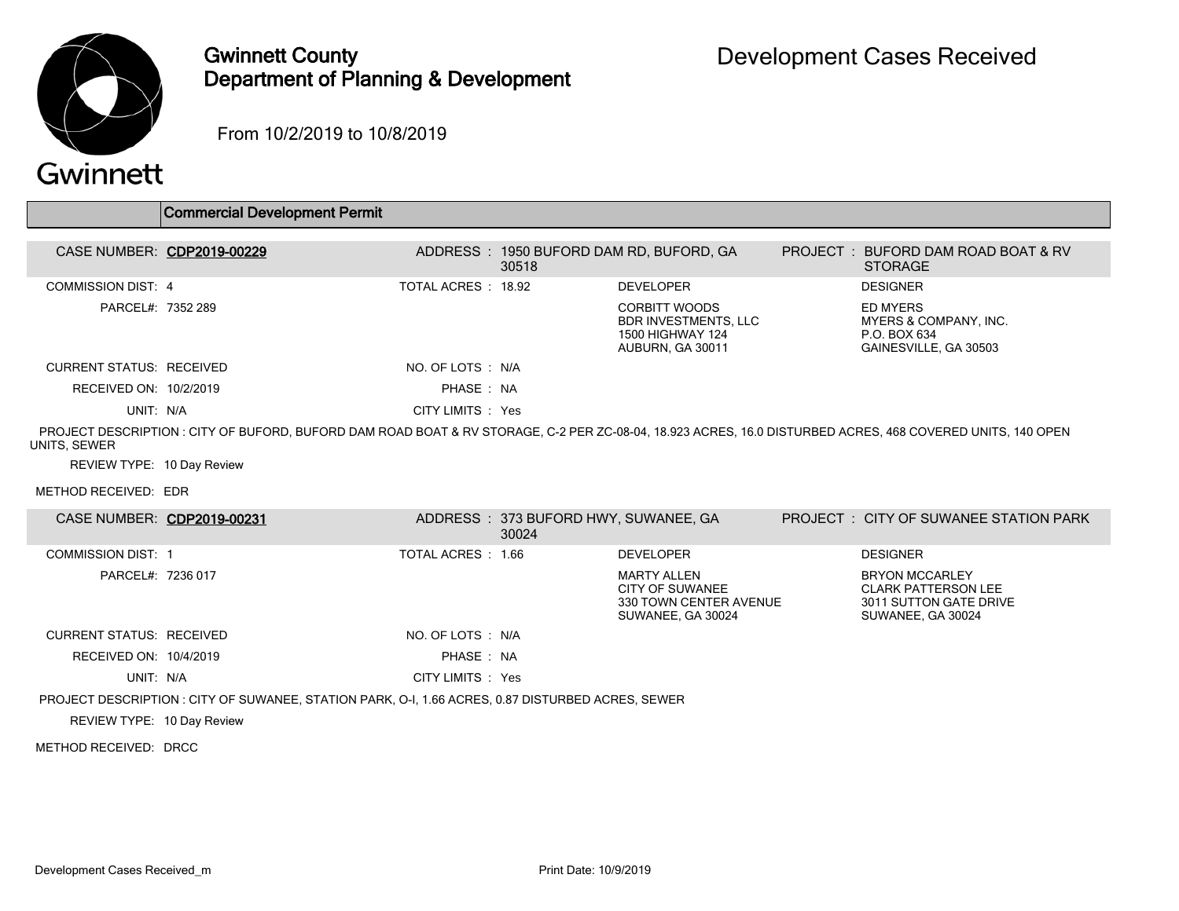

## Gwinnett County Department of Planning & Development

From 10/2/2019 to 10/8/2019

## Gwinnett

 $\overline{\phantom{a}}$ 

|                            | <b>Commercial Development Permit</b>                                                                                                                       |                     |       |                                                                                                    |          |                                                                            |
|----------------------------|------------------------------------------------------------------------------------------------------------------------------------------------------------|---------------------|-------|----------------------------------------------------------------------------------------------------|----------|----------------------------------------------------------------------------|
| CASE NUMBER: CDP2019-00229 |                                                                                                                                                            |                     | 30518 | ADDRESS : 1950 BUFORD DAM RD, BUFORD, GA                                                           | PROJECT: | BUFORD DAM ROAD BOAT & RV<br><b>STORAGE</b>                                |
| COMMISSION DIST: 4         |                                                                                                                                                            | TOTAL ACRES : 18.92 |       | <b>DEVELOPER</b>                                                                                   |          | <b>DESIGNER</b>                                                            |
| PARCEL#: 7352 289          |                                                                                                                                                            |                     |       | <b>CORBITT WOODS</b><br><b>BDR INVESTMENTS, LLC</b><br><b>1500 HIGHWAY 124</b><br>AUBURN, GA 30011 |          | ED MYERS<br>MYERS & COMPANY, INC.<br>P.O. BOX 634<br>GAINESVILLE, GA 30503 |
| CURRENT STATUS RECEIVED    |                                                                                                                                                            | NO. OF LOTS : N/A   |       |                                                                                                    |          |                                                                            |
| RECEIVED ON: 10/2/2019     |                                                                                                                                                            | PHASE: NA           |       |                                                                                                    |          |                                                                            |
| UNIT: N/A                  |                                                                                                                                                            | CITY LIMITS : Yes   |       |                                                                                                    |          |                                                                            |
| UNITS, SEWER               | PROJECT DESCRIPTION : CITY OF BUFORD. BUFORD DAM ROAD BOAT & RV STORAGE, C-2 PER ZC-08-04, 18.923 ACRES, 16.0 DISTURBED ACRES, 468 COVERED UNITS, 140 OPEN |                     |       |                                                                                                    |          |                                                                            |
| REVIEW TYPE: 10 Day Review |                                                                                                                                                            |                     |       |                                                                                                    |          |                                                                            |
| METHOD RECEIVED: EDR       |                                                                                                                                                            |                     |       |                                                                                                    |          |                                                                            |

| CASE NUMBER: CDP2019-00231                                                                        |  |                    | ADDRESS : 373 BUFORD HWY, SUWANEE, GA<br>30024 |                                                                               |  | <b>PROJECT : CITY OF SUWANEE STATION PARK</b>                                                      |  |
|---------------------------------------------------------------------------------------------------|--|--------------------|------------------------------------------------|-------------------------------------------------------------------------------|--|----------------------------------------------------------------------------------------------------|--|
| <b>COMMISSION DIST: 1</b>                                                                         |  | TOTAL ACRES : 1.66 |                                                | <b>DEVELOPER</b>                                                              |  | <b>DESIGNER</b>                                                                                    |  |
| PARCEL#: 7236 017                                                                                 |  |                    |                                                | MARTY ALLEN<br>CITY OF SUWANEE<br>330 TOWN CENTER AVENUE<br>SUWANEE, GA 30024 |  | <b>BRYON MCCARLEY</b><br><b>CLARK PATTERSON LEE</b><br>3011 SUTTON GATE DRIVE<br>SUWANEE, GA 30024 |  |
| CURRENT STATUS: RECEIVED                                                                          |  | NO. OF LOTS : N/A  |                                                |                                                                               |  |                                                                                                    |  |
| RECEIVED ON: 10/4/2019                                                                            |  | PHASE: NA          |                                                |                                                                               |  |                                                                                                    |  |
| UNIT: N/A                                                                                         |  | CITY LIMITS : Yes  |                                                |                                                                               |  |                                                                                                    |  |
| PROJECT DESCRIPTION : CITY OF SUWANEE, STATION PARK, O-I, 1.66 ACRES, 0.87 DISTURBED ACRES, SEWER |  |                    |                                                |                                                                               |  |                                                                                                    |  |
| REVIEW TYPE: 10 Day Review                                                                        |  |                    |                                                |                                                                               |  |                                                                                                    |  |

METHOD RECEIVED: DRCC